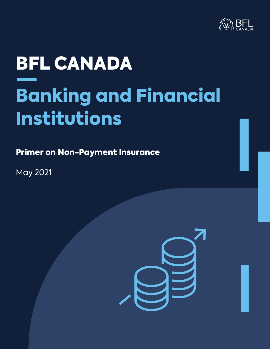

# BFL CANADA Banking and Financial Institutions

Primer on Non-Payment Insurance

May 2021

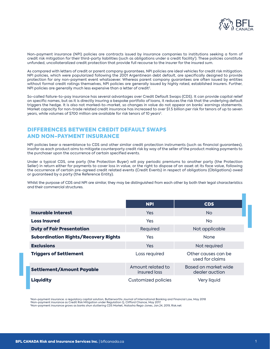

Non-payment insurance (NPI) policies are contracts issued by insurance companies to institutions seeking a form of credit risk mitigation for their third-party liabilities (such as obligations under a credit facility'). These policies constitute unfunded, uncollateralized credit protection that provide full recourse to the insurer for the insured sum.

As compared with letters of credit or parent company guarantees, NPI policies are ideal vehicles for credit risk mitigation. NPI policies, which were popularized following the 2001 Argentinean debt default, are specifically designed to provide protection for any non-payment event whatsoever. Whereas parent company guarantees are often issued by entities without formal credit ratings themselves, NPI policies are generally issued by highly rated, established insurers. Further, NPI policies are generally much less expensive than a letter of credit<sup>2</sup>.

So-called failure-to-pay insurance has several advantages over Credit Default Swaps (CDS). It can provide capital relief on specific names, but as it is directly insuring a bespoke portfolio of loans, it reduces the risk that the underlying default triggers the hedge. It is also not marked-to-market, so changes in value do not appear on banks' earnings statements. Market capacity for non-trade related credit insurance has increased to over \$1.5 billion per risk for tenors of up to seven years, while volumes of \$700 million are available for risk tenors of 10 years<sup>3</sup>.

#### DIFFERENCES BETWEEN CREDIT DEFAULT SWAPS AND NON-PAYMENT INSURANCE

NPI policies bear a resemblance to CDS and other similar credit protection instruments (such as financial guarantees), insofar as each product aims to mitigate counterparty credit risk by way of the seller of the product making payments to the purchaser upon the occurrence of certain specified events.

Under a typical CDS, one party (the Protection Buyer) will pay periodic premiums to another party (the Protection Seller) in return either for payments to cover loss in value, or the right to dispose of an asset at its face value, following the occurrence of certain pre-agreed credit related events (Credit Events) in respect of obligations (Obligations) owed or guaranteed by a party (the Reference Entity).

Whilst the purpose of CDS and NPI are similar, they may be distinguished from each other by both their legal characteristics and their commercial structures.

|                                             | <b>NPI</b>                        | <b>CDS</b>                             |
|---------------------------------------------|-----------------------------------|----------------------------------------|
| Insurable Interest                          | <b>Yes</b>                        | N <sub>o</sub>                         |
| <b>Loss Insured</b>                         | <b>Yes</b>                        | N <sub>o</sub>                         |
| <b>Duty of Fair Presentation</b>            | Required                          | Not applicable                         |
| <b>Subordination Rights/Recovery Rights</b> | Yes                               | <b>None</b>                            |
| <b>Exclusions</b>                           | Yes                               | Not required                           |
| <b>Triggers of Settlement</b>               | Loss required                     | Other causes can be<br>used for claims |
| <b>Settlement/Amount Payable</b>            | Amount related to<br>insured loss | Based on market wide<br>dealer auction |
| <b>Liquidity</b>                            | <b>Customized policies</b>        | Very liquid                            |

 1 Non-payment insurance: a regulatory capital solution, Butterworths Journal of International Banking and Financial Law, May 2018 2Non-payment insurance as Credit Risk Mitigation under Regulation Q, Clifford Chance, May 2017.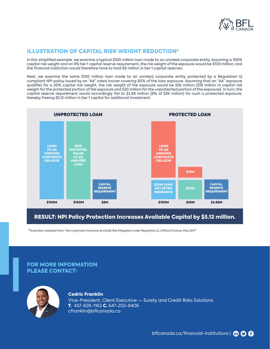

#### ILLUSTRATION OF CAPITAL RISK WEIGHT REDUCTION4

In this simplified example, we examine a typical \$100 million loan made to an unrated corporate entity. Assuming a 100% capital risk weight and an 8% tier 1 capital reserve requirement, the risk weight of the exposure would be \$100 million, and the financial institution would therefore have to hold \$8 million in tier 1 capital reserves.

Next, we examine the same \$100 million loan made to an unrated corporate entity protected by a Regulation Q compliant NPI policy issued by an "AA" rated insurer covering 80% of the loan exposure. Assuming that an "AA" exposure qualifies for a 20% capital risk weight, the risk weight of the exposure would be \$36 million (\$16 million in capital risk weight for the protected portion of the exposure and \$20 million for the unprotected portion of the exposure). In turn, the capital reserve requirement would accordingly fall to \$2.88 million (8% of \$36 million) for such a protected exposure, thereby freeing \$5.12 million in tier 1 capital for additional investment.



### RESULT: NPI Policy Protection Increases Available Capital by \$5.12 million.

4Illustration adapted from "Non-payment insurance as Credit Risk Mitigation under Regulation Q, Clifford Chance, May 2017"

#### FOR MORE INFORMATION PLEASE CONTACT:



#### Cedric Franklin

Vice-President, Client Executive — Surety and Credit Risks Solutions T. 437-828-1162 C. 647-202-8406 cfranklin@bflcanada.ca